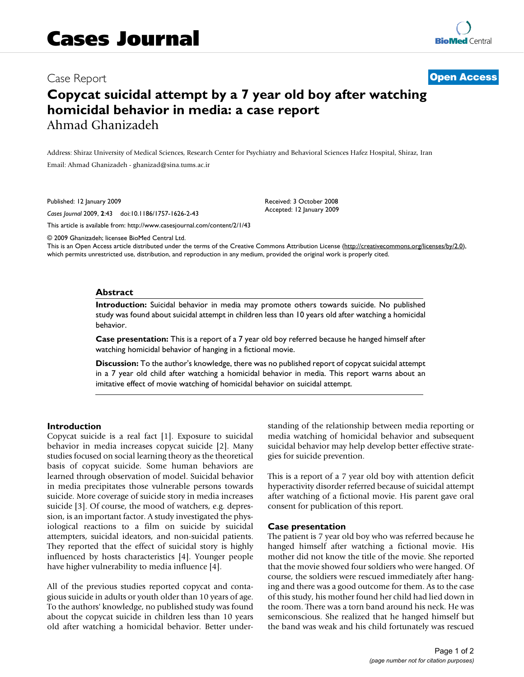# Case Report **[Open Access](http://www.biomedcentral.com/info/about/charter/)**

# **Copycat suicidal attempt by a 7 year old boy after watching homicidal behavior in media: a case report** Ahmad Ghanizadeh

Address: Shiraz University of Medical Sciences, Research Center for Psychiatry and Behavioral Sciences Hafez Hospital, Shiraz, Iran Email: Ahmad Ghanizadeh - ghanizad@sina.tums.ac.i[r](http://www.ncbi.nlm.nih.gov/entrez/query.fcgi?cmd=Retrieve&db=PubMed&dopt=Abstract&list_uids=19138418)

Published: 12 January 2009

*Cases Journal* 2009, **2**:43 doi:10.1186/1757-1626-2-43

[This article is available from: http://www.casesjournal.com/content/2/1/43](http://www.casesjournal.com/content/2/1/43)

© 2009 Ghanizadeh; licensee BioMed Central Ltd.

This is an Open Access article distributed under the terms of the Creative Commons Attribution License [\(http://creativecommons.org/licenses/by/2.0\)](http://creativecommons.org/licenses/by/2.0), which permits unrestricted use, distribution, and reproduction in any medium, provided the original work is properly cited.

Received: 3 October 2008 Accepted: 12 January 2009

#### **Abstract**

**Introduction:** Suicidal behavior in media may promote others towards suicide. No published study was found about suicidal attempt in children less than 10 years old after watching a homicidal behavior.

**Case presentation:** This is a report of a 7 year old boy referred because he hanged himself after watching homicidal behavior of hanging in a fictional movie.

**Discussion:** To the author's knowledge, there was no published report of copycat suicidal attempt in a 7 year old child after watching a homicidal behavior in media. This report warns about an imitative effect of movie watching of homicidal behavior on suicidal attempt.

#### **Introduction**

Copycat suicide is a real fact [1]. Exposure to suicidal behavior in media increases copycat suicide [2]. Many studies focused on social learning theory as the theoretical basis of copycat suicide. Some human behaviors are learned through observation of model. Suicidal behavior in media precipitates those vulnerable persons towards suicide. More coverage of suicide story in media increases suicide [3]. Of course, the mood of watchers, e.g. depression, is an important factor. A study investigated the physiological reactions to a film on suicide by suicidal attempters, suicidal ideators, and non-suicidal patients. They reported that the effect of suicidal story is highly influenced by hosts characteristics [4]. Younger people have higher vulnerability to media influence [4].

All of the previous studies reported copycat and contagious suicide in adults or youth older than 10 years of age. To the authors' knowledge, no published study was found about the copycat suicide in children less than 10 years old after watching a homicidal behavior. Better understanding of the relationship between media reporting or media watching of homicidal behavior and subsequent suicidal behavior may help develop better effective strategies for suicide prevention.

This is a report of a 7 year old boy with attention deficit hyperactivity disorder referred because of suicidal attempt after watching of a fictional movie. His parent gave oral consent for publication of this report.

#### **Case presentation**

The patient is 7 year old boy who was referred because he hanged himself after watching a fictional movie. His mother did not know the title of the movie. She reported that the movie showed four soldiers who were hanged. Of course, the soldiers were rescued immediately after hanging and there was a good outcome for them. As to the case of this study, his mother found her child had lied down in the room. There was a torn band around his neck. He was semiconscious. She realized that he hanged himself but the band was weak and his child fortunately was rescued